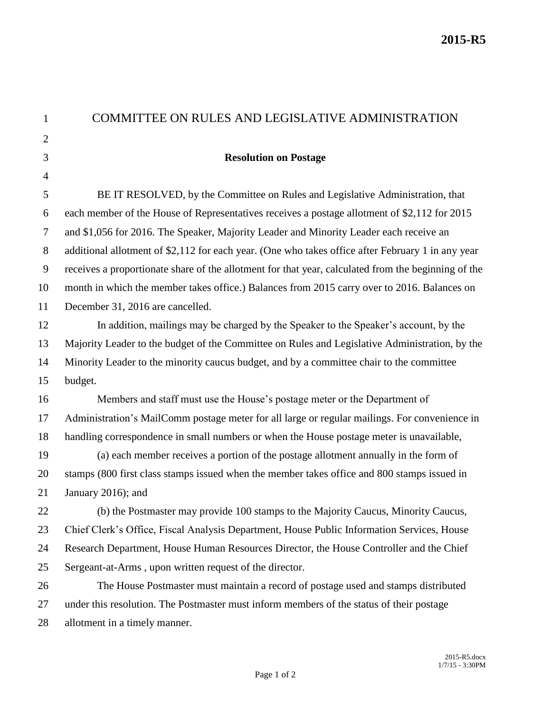| $\mathbf{1}$   | COMMITTEE ON RULES AND LEGISLATIVE ADMINISTRATION                                                   |
|----------------|-----------------------------------------------------------------------------------------------------|
| $\overline{2}$ |                                                                                                     |
| 3              | <b>Resolution on Postage</b>                                                                        |
| $\overline{4}$ |                                                                                                     |
| 5              | BE IT RESOLVED, by the Committee on Rules and Legislative Administration, that                      |
| 6              | each member of the House of Representatives receives a postage allotment of \$2,112 for 2015        |
| $\tau$         | and \$1,056 for 2016. The Speaker, Majority Leader and Minority Leader each receive an              |
| 8              | additional allotment of \$2,112 for each year. (One who takes office after February 1 in any year   |
| 9              | receives a proportionate share of the allotment for that year, calculated from the beginning of the |
| 10             | month in which the member takes office.) Balances from 2015 carry over to 2016. Balances on         |
| 11             | December 31, 2016 are cancelled.                                                                    |
| 12             | In addition, mailings may be charged by the Speaker to the Speaker's account, by the                |
| 13             | Majority Leader to the budget of the Committee on Rules and Legislative Administration, by the      |
| 14             | Minority Leader to the minority caucus budget, and by a committee chair to the committee            |
| 15             | budget.                                                                                             |
| 16             | Members and staff must use the House's postage meter or the Department of                           |
| 17             | Administration's MailComm postage meter for all large or regular mailings. For convenience in       |
| 18             | handling correspondence in small numbers or when the House postage meter is unavailable,            |
| 19             | (a) each member receives a portion of the postage allotment annually in the form of                 |
| 20             | stamps (800 first class stamps issued when the member takes office and 800 stamps issued in         |
| 21             | January 2016); and                                                                                  |
| 22             | (b) the Postmaster may provide 100 stamps to the Majority Caucus, Minority Caucus,                  |
| 23             | Chief Clerk's Office, Fiscal Analysis Department, House Public Information Services, House          |
| 24             | Research Department, House Human Resources Director, the House Controller and the Chief             |
| 25             | Sergeant-at-Arms, upon written request of the director.                                             |
| 26             | The House Postmaster must maintain a record of postage used and stamps distributed                  |
| 27             | under this resolution. The Postmaster must inform members of the status of their postage            |
| 28             | allotment in a timely manner.                                                                       |